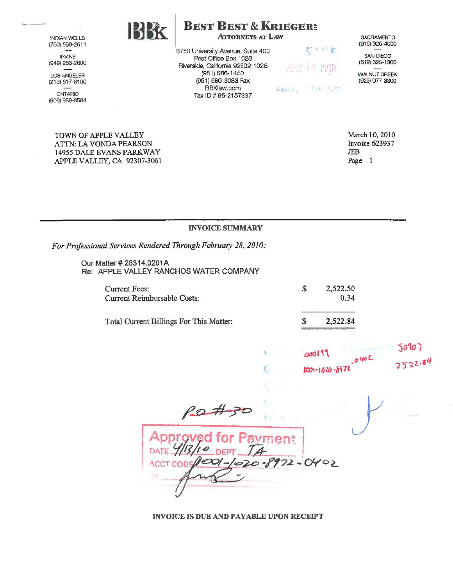INDIAN WELLS (760) 568-2611 IRVINE

(949) 263-2600

LOS ANGELES (213) 617-8100

ONTARIO (909) 989-8584

> TOWN OF APPLE VALLEY ATTN: LA VONDA PEARSON 14955 DALE EVANS PARKWAY APPLE VALLEY, CA 92307-3061

 $\left|\sum_{k=1}^{n} X_k\right|$  **BEST BEST & KRIEGER:** ATTORNEYS AT LAW

3750 University Avenue, Suite 400 Post Office Box 1028 Riverside, California 92502-1028 (951) 686-1450 (951} 686-3083 Fax BBKlaw.com Tax ID# 95-2157337



为那个 ?? Sitter for

**SACRAMENTO** (916) 325-4000 SAN DIEGO

(619) 525-1300

WALNUT CREEK (925) 977-3300

March 10, 2010 Invoice 623937 JEB Page 1

## INVOICE SUMMARY

*For Professional Services Rendered Through February 28, 2010:* 

Our Matter # 28314.0201A Re: APPLE VALLEY RANCHOS WATER COMPANY

| <b>Current Fees:</b><br>Current Reimbursable Costs: | 2,522.50<br>0.34 |
|-----------------------------------------------------|------------------|
| Total Current Billings For This Matter:             | 2,522.84         |

'

| 000199               | 50707 |         |  |
|----------------------|-------|---------|--|
|                      | .040L | 2522.84 |  |
| $1001 - 1020 - 8972$ |       |         |  |

 $\frac{\rho_{\mathcal{D}} \# \mathcal{F}^{\circ}}{$ gved for Pa ent  $972 - 0402$  $20 - 1$ **ACCT COD** 

INVOICE IS DUE AND PAYABLE UPON RECEIPT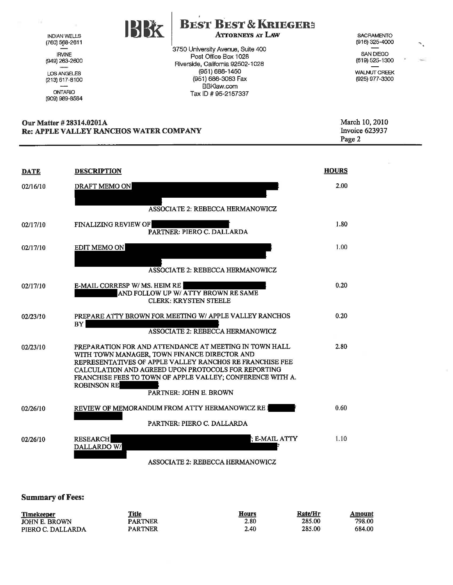INDIAN WELLS (760) 568-2611 IRVINE (949) 263-2600 LOS ANGELES (213) 617-8100 ONTARIO (909) 989-8584

na.

## ' **BEST BEST & KRIEGER~**  ATrORNEYS AT LAW

SACRAMENTO (916) 325-4000

SAN DIEGO (619) 525-1300  $\ddot{\phantom{0}}$ 

WALNUT CREEK (925) 977-3300

Our Matter # 28314.0201A Re: APPLE VALLEY RANCHOS WATER COMPANY March 10, 2010 Invoice 623937 Page 2

3750 University Avenue, Suite 400 Post Office Box 1028 Riverside, California 92502-1028 (951) 666-1450 (951) 686-3083 Fax BBKlaw.com Tax ID# 95-2157337

| <b>DATE</b> | <b>DESCRIPTION</b>                                                                                                                                                                                                                                                                                                                      | <b>HOURS</b> |
|-------------|-----------------------------------------------------------------------------------------------------------------------------------------------------------------------------------------------------------------------------------------------------------------------------------------------------------------------------------------|--------------|
| 02/16/10    | <b>DRAFT MEMO ON</b><br><b>ASSOCIATE 2: REBECCA HERMANOWICZ</b>                                                                                                                                                                                                                                                                         | 2.00         |
| 02/17/10    | <b>FINALIZING REVIEW OF</b><br>PARTNER: PIERO C. DALLARDA                                                                                                                                                                                                                                                                               | 1.80         |
| 02/17/10    | <b>EDIT MEMO ON</b><br>ASSOCIATE 2: REBECCA HERMANOWICZ                                                                                                                                                                                                                                                                                 | 1.00         |
| 02/17/10    | <b>E-MAIL CORRESP W/MS. HEIM RE</b><br>AND FOLLOW UP W/ ATTY BROWN RE SAME<br><b>CLERK: KRYSTEN STEELE</b>                                                                                                                                                                                                                              | 0.20         |
| 02/23/10    | PREPARE ATTY BROWN FOR MEETING W/ APPLE VALLEY RANCHOS<br><b>BY</b><br><b>ASSOCIATE 2: REBECCA HERMANOWICZ</b>                                                                                                                                                                                                                          | 0.20         |
| 02/23/10    | PREPARATION FOR AND ATTENDANCE AT MEETING IN TOWN HALL<br>WITH TOWN MANAGER, TOWN FINANCE DIRECTOR AND<br>REPRESENTATIVES OF APPLE VALLEY RANCHOS RE FRANCHISE FEE<br>CALCULATION AND AGREED UPON PROTOCOLS FOR REPORTING<br>FRANCHISE FEES TO TOWN OF APPLE VALLEY; CONFERENCE WITH A.<br><b>ROBINSON RE</b><br>PARTNER: JOHN E. BROWN | 2.80         |
| 02/26/10    | REVIEW OF MEMORANDUM FROM ATTY HERMANOWICZ RE<br>PARTNER: PIERO C. DALLARDA                                                                                                                                                                                                                                                             | 0.60         |
| 02/26/10    | : E-MAIL ATTY<br><b>RESEARCH</b><br>DALLARDO W/                                                                                                                                                                                                                                                                                         | 1.10         |

## ASSOCIATE 2: REBECCA HERMANOWICZ

## Summary of Fees:

| <u>Timekeeper</u>    | <b>Title</b> | <b>Hours</b> | Rate/Hr | Amount |  |
|----------------------|--------------|--------------|---------|--------|--|
| <b>JOHN E. BROWN</b> | PARTNER      | 2.80         | 285.00  | 798.00 |  |
| PIERO C. DALLARDA    | PARTNER      | 2.40         | 285.00  | 684.00 |  |